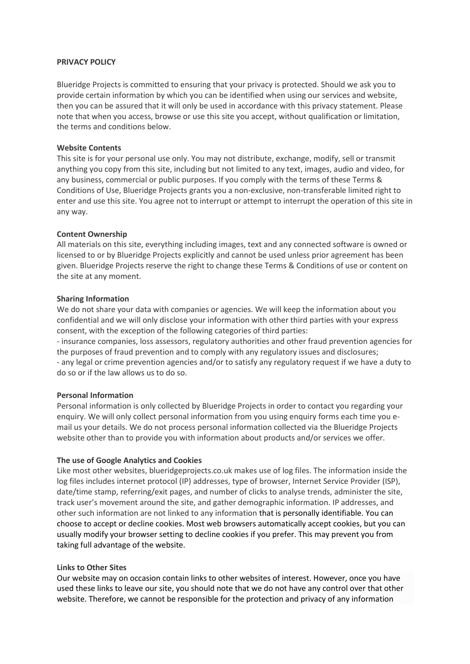#### **PRIVACY POLICY**

Blueridge Projects is committed to ensuring that your privacy is protected. Should we ask you to provide certain information by which you can be identified when using our services and website, then you can be assured that it will only be used in accordance with this privacy statement. Please note that when you access, browse or use this site you accept, without qualification or limitation, the terms and conditions below.

## **Website Contents**

This site is for your personal use only. You may not distribute, exchange, modify, sell or transmit anything you copy from this site, including but not limited to any text, images, audio and video, for any business, commercial or public purposes. If you comply with the terms of these Terms & Conditions of Use, Blueridge Projects grants you a non-exclusive, non-transferable limited right to enter and use this site. You agree not to interrupt or attempt to interrupt the operation of this site in any way.

## **Content Ownership**

All materials on this site, everything including images, text and any connected software is owned or licensed to or by Blueridge Projects explicitly and cannot be used unless prior agreement has been given. Blueridge Projects reserve the right to change these Terms & Conditions of use or content on the site at any moment.

## **Sharing Information**

We do not share your data with companies or agencies. We will keep the information about you confidential and we will only disclose your information with other third parties with your express consent, with the exception of the following categories of third parties:

- insurance companies, loss assessors, regulatory authorities and other fraud prevention agencies for the purposes of fraud prevention and to comply with any regulatory issues and disclosures; - any legal or crime prevention agencies and/or to satisfy any regulatory request if we have a duty to do so or if the law allows us to do so.

#### **Personal Information**

Personal information is only collected by Blueridge Projects in order to contact you regarding your enquiry. We will only collect personal information from you using enquiry forms each time you email us your details. We do not process personal information collected via the Blueridge Projects website other than to provide you with information about products and/or services we offer.

#### **The use of Google Analytics and Cookies**

Like most other websites, blueridgeprojects.co.uk makes use of log files. The information inside the log files includes internet protocol (IP) addresses, type of browser, Internet Service Provider (ISP), date/time stamp, referring/exit pages, and number of clicks to analyse trends, administer the site, track user's movement around the site, and gather demographic information. IP addresses, and other such information are not linked to any information that is personally identifiable. You can choose to accept or decline cookies. Most web browsers automatically accept cookies, but you can usually modify your browser setting to decline cookies if you prefer. This may prevent you from taking full advantage of the website.

#### **Links to Other Sites**

Our website may on occasion contain links to other websites of interest. However, once you have used these links to leave our site, you should note that we do not have any control over that other website. Therefore, we cannot be responsible for the protection and privacy of any information